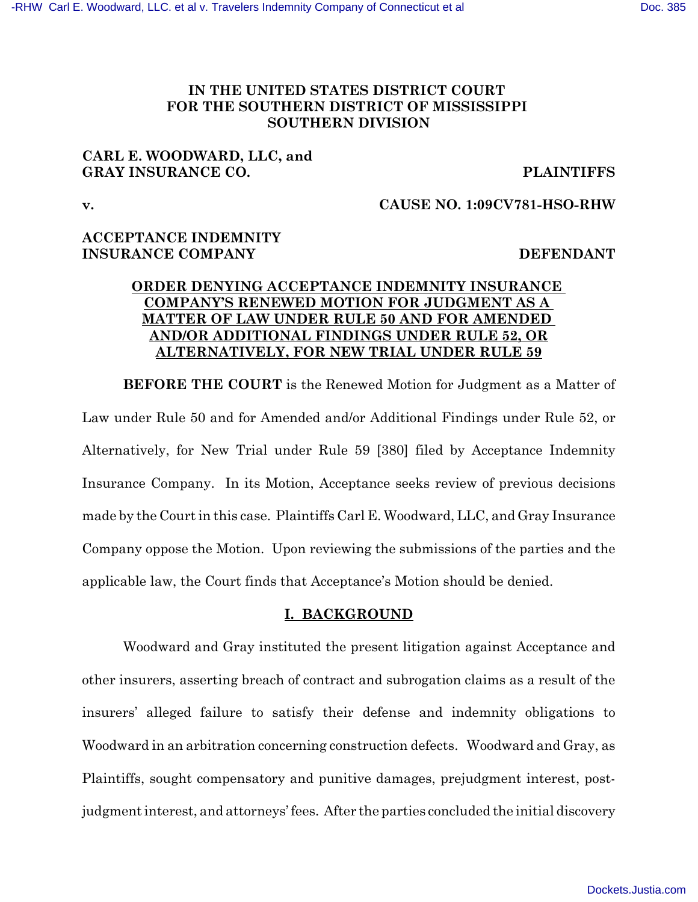# **IN THE UNITED STATES DISTRICT COURT FOR THE SOUTHERN DISTRICT OF MISSISSIPPI SOUTHERN DIVISION**

# **CARL E. WOODWARD, LLC, and GRAY INSURANCE CO. PLAINTIFFS**

# **v. CAUSE NO. 1:09CV781-HSO-RHW**

# **ACCEPTANCE INDEMNITY INSURANCE COMPANY DEFENDANT**

## **ORDER DENYING ACCEPTANCE INDEMNITY INSURANCE COMPANY'S RENEWED MOTION FOR JUDGMENT AS A MATTER OF LAW UNDER RULE 50 AND FOR AMENDED AND/OR ADDITIONAL FINDINGS UNDER RULE 52, OR ALTERNATIVELY, FOR NEW TRIAL UNDER RULE 59**

**BEFORE THE COURT** is the Renewed Motion for Judgment as a Matter of Law under Rule 50 and for Amended and/or Additional Findings under Rule 52, or Alternatively, for New Trial under Rule 59 [380] filed by Acceptance Indemnity Insurance Company. In its Motion, Acceptance seeks review of previous decisions made by the Court in this case. Plaintiffs Carl E. Woodward, LLC, and Gray Insurance Company oppose the Motion. Upon reviewing the submissions of the parties and the applicable law, the Court finds that Acceptance's Motion should be denied.

## **I. BACKGROUND**

Woodward and Gray instituted the present litigation against Acceptance and other insurers, asserting breach of contract and subrogation claims as a result of the insurers' alleged failure to satisfy their defense and indemnity obligations to Woodward in an arbitration concerning construction defects. Woodward and Gray, as Plaintiffs, sought compensatory and punitive damages, prejudgment interest, postjudgment interest, and attorneys' fees. After the parties concluded the initial discovery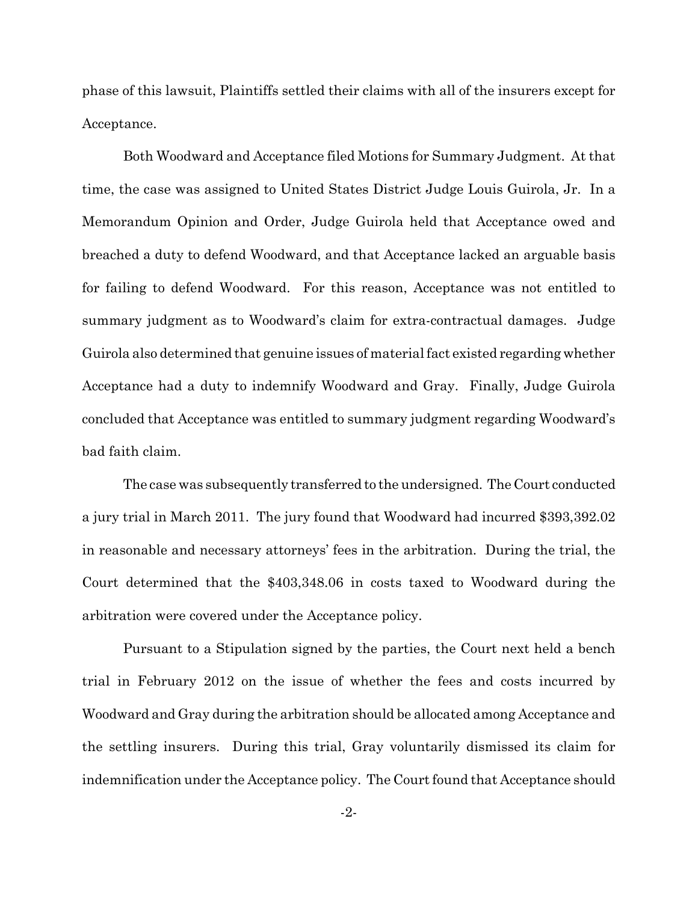phase of this lawsuit, Plaintiffs settled their claims with all of the insurers except for Acceptance.

Both Woodward and Acceptance filed Motions for Summary Judgment. At that time, the case was assigned to United States District Judge Louis Guirola, Jr. In a Memorandum Opinion and Order, Judge Guirola held that Acceptance owed and breached a duty to defend Woodward, and that Acceptance lacked an arguable basis for failing to defend Woodward. For this reason, Acceptance was not entitled to summary judgment as to Woodward's claim for extra-contractual damages. Judge Guirola also determined that genuine issues of material fact existed regarding whether Acceptance had a duty to indemnify Woodward and Gray. Finally, Judge Guirola concluded that Acceptance was entitled to summary judgment regarding Woodward's bad faith claim.

The case was subsequently transferred to the undersigned. The Court conducted a jury trial in March 2011. The jury found that Woodward had incurred \$393,392.02 in reasonable and necessary attorneys' fees in the arbitration. During the trial, the Court determined that the \$403,348.06 in costs taxed to Woodward during the arbitration were covered under the Acceptance policy.

Pursuant to a Stipulation signed by the parties, the Court next held a bench trial in February 2012 on the issue of whether the fees and costs incurred by Woodward and Gray during the arbitration should be allocated among Acceptance and the settling insurers. During this trial, Gray voluntarily dismissed its claim for indemnification under the Acceptance policy. The Court found that Acceptance should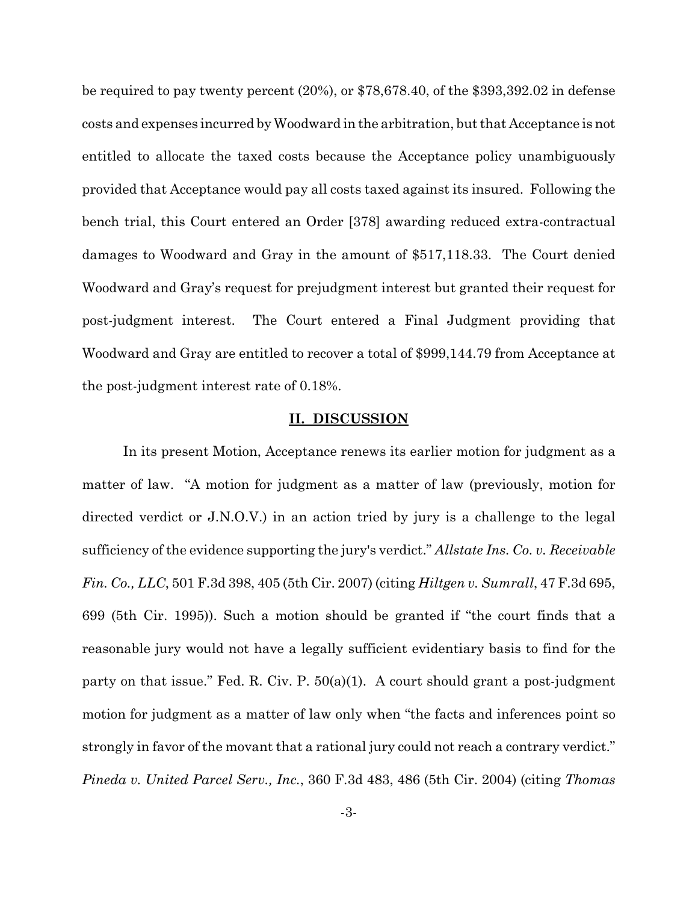be required to pay twenty percent (20%), or \$78,678.40, of the \$393,392.02 in defense costs and expenses incurred by Woodward in the arbitration, but that Acceptance is not entitled to allocate the taxed costs because the Acceptance policy unambiguously provided that Acceptance would pay all costs taxed against its insured. Following the bench trial, this Court entered an Order [378] awarding reduced extra-contractual damages to Woodward and Gray in the amount of \$517,118.33. The Court denied Woodward and Gray's request for prejudgment interest but granted their request for post-judgment interest. The Court entered a Final Judgment providing that Woodward and Gray are entitled to recover a total of \$999,144.79 from Acceptance at the post-judgment interest rate of 0.18%.

### **II. DISCUSSION**

In its present Motion, Acceptance renews its earlier motion for judgment as a matter of law. "A motion for judgment as a matter of law (previously, motion for directed verdict or J.N.O.V.) in an action tried by jury is a challenge to the legal sufficiency of the evidence supporting the jury's verdict." *Allstate Ins. Co. v. Receivable Fin. Co., LLC*, 501 F.3d 398, 405 (5th Cir. 2007) (citing *Hiltgen v. Sumrall*, 47 F.3d 695, 699 (5th Cir. 1995)). Such a motion should be granted if "the court finds that a reasonable jury would not have a legally sufficient evidentiary basis to find for the party on that issue." Fed. R. Civ. P. 50(a)(1). A court should grant a post-judgment motion for judgment as a matter of law only when "the facts and inferences point so strongly in favor of the movant that a rational jury could not reach a contrary verdict." *Pineda v. United Parcel Serv., Inc.*, 360 F.3d 483, 486 (5th Cir. 2004) (citing *Thomas*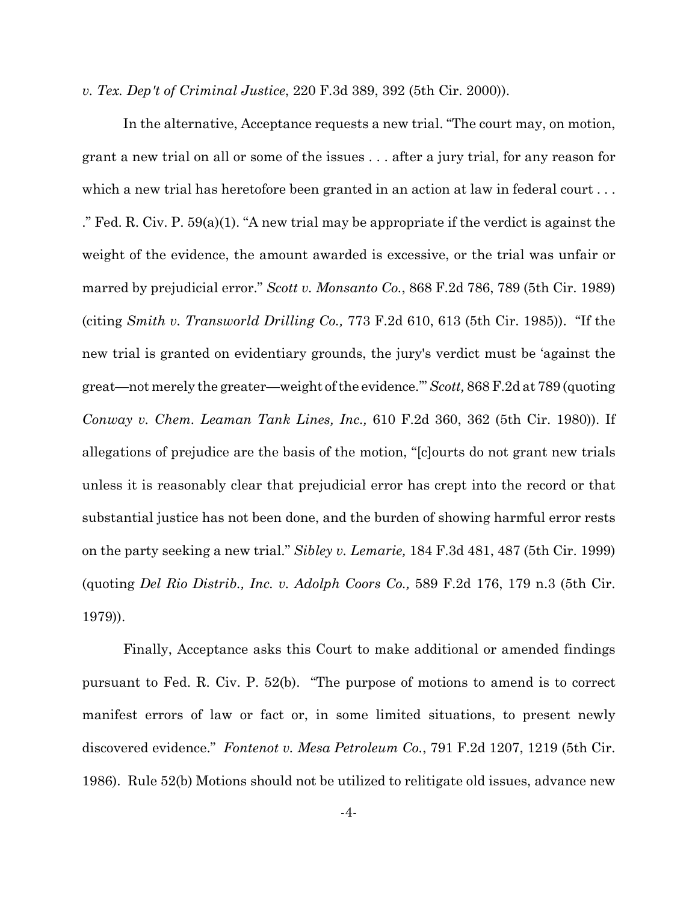*v. Tex. Dep't of Criminal Justice*, 220 F.3d 389, 392 (5th Cir. 2000)).

In the alternative, Acceptance requests a new trial. "The court may, on motion, grant a new trial on all or some of the issues . . . after a jury trial, for any reason for which a new trial has heretofore been granted in an action at law in federal court ... ." Fed. R. Civ. P.  $59(a)(1)$ . "A new trial may be appropriate if the verdict is against the weight of the evidence, the amount awarded is excessive, or the trial was unfair or marred by prejudicial error." *Scott v. Monsanto Co.*, 868 F.2d 786, 789 (5th Cir. 1989) (citing *Smith v. Transworld Drilling Co.,* 773 F.2d 610, 613 (5th Cir. 1985)). "If the new trial is granted on evidentiary grounds, the jury's verdict must be 'against the great—not merely the greater—weight of the evidence.'" *Scott,* 868 F.2d at 789 (quoting *Conway v. Chem. Leaman Tank Lines, Inc.,* 610 F.2d 360, 362 (5th Cir. 1980)). If allegations of prejudice are the basis of the motion, "[c]ourts do not grant new trials unless it is reasonably clear that prejudicial error has crept into the record or that substantial justice has not been done, and the burden of showing harmful error rests on the party seeking a new trial." *Sibley v. Lemarie,* 184 F.3d 481, 487 (5th Cir. 1999) (quoting *Del Rio Distrib., Inc. v. Adolph Coors Co.,* 589 F.2d 176, 179 n.3 (5th Cir. 1979)).

Finally, Acceptance asks this Court to make additional or amended findings pursuant to Fed. R. Civ. P. 52(b). "The purpose of motions to amend is to correct manifest errors of law or fact or, in some limited situations, to present newly discovered evidence." *Fontenot v. Mesa Petroleum Co.*, 791 F.2d 1207, 1219 (5th Cir. 1986). Rule 52(b) Motions should not be utilized to relitigate old issues, advance new